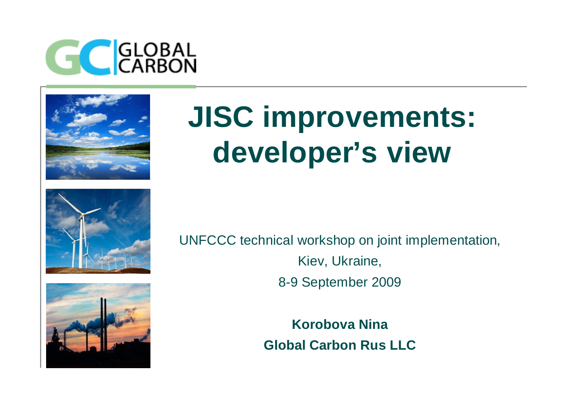



## **JISC improvements: developer's view**





UNFCCC technical workshop on joint implementation, Kiev, Ukraine, 8-9 September 2009

> **Korobova Nina Global Carbon Rus LLC**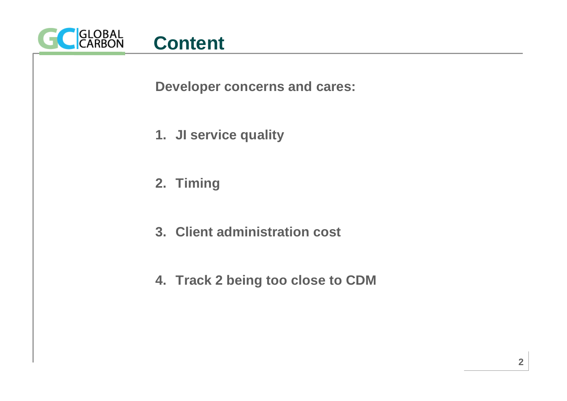

**Developer concerns and cares:**

- **1. JI service quality**
- **2. Timing**
- **3. Client administration cost**
- **4. Track 2 being too close to CDM**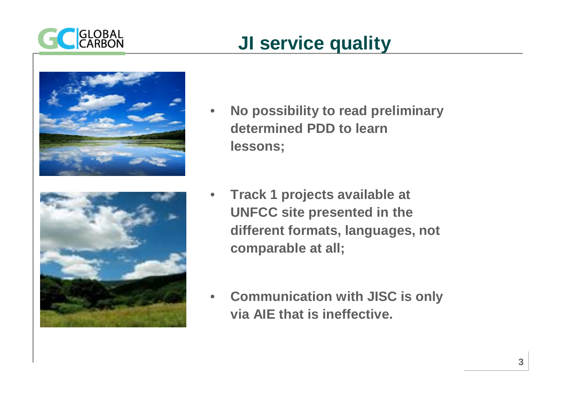

## **JI service quality**



- **No possibility to read preliminary determined PDD to learn lessons;**
- **Track 1 projects available at UNFCC site presented in the different formats, languages, not comparable at all;**
	- **Communication with JISC is only via AIE that is ineffective.**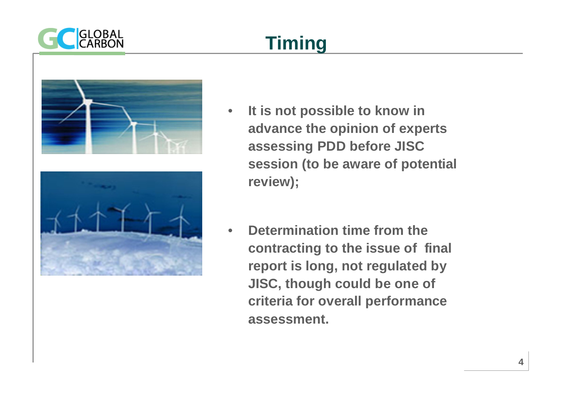

## **Timing**





- **It is not possible to know in advance the opinion of experts assessing PDD before JISC session (to be aware of potential review);**
- **Determination time from the contracting to the issue of final report is long, not regulated by JISC, though could be one of criteria for overall performance assessment.**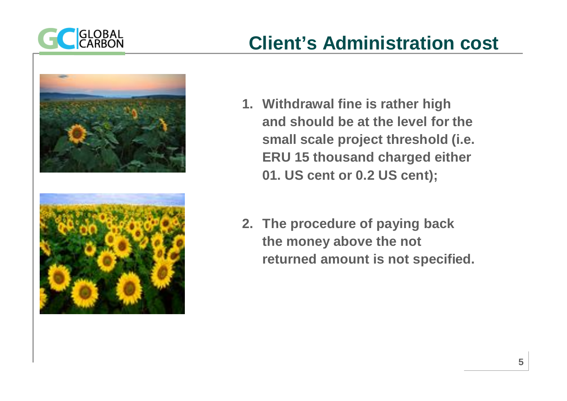





- **1. Withdrawal fine is rather high and should be at the level for the small scale project threshold (i.e. ERU 15 thousand charged either 01. US cent or 0.2 US cent);**
- **2. The procedure of paying back the money above the not returned amount is not specified.**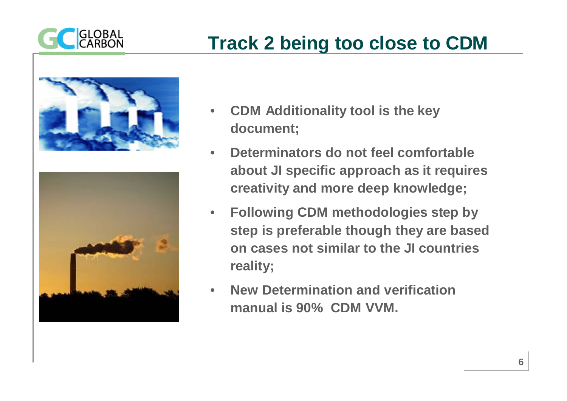





- **CDM Additionality tool is the key document;**
- **Determinators do not feel comfortable about JI specific approach as it requires creativity and more deep knowledge;**
- **Following CDM methodologies step by step is preferable though they are based on cases not similar to the JI countries reality;**
- **New Determination and verification manual is 90% CDM VVM.**